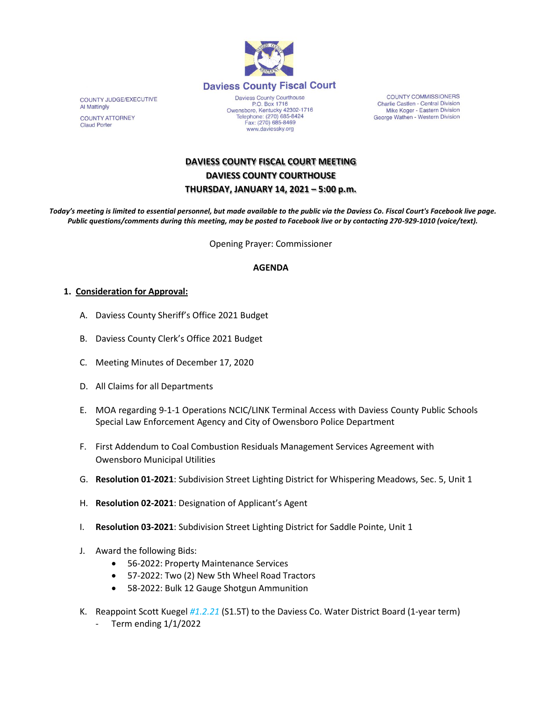

COUNTY JUDGE/EXECUTIVE Al Mattingly **COUNTY ATTORNEY** 

**Claud Porter** 

Daviess County Courthouse P.O. Box 1716<br>Owensboro, Kentucky 42302-1716<br>Telephone: (270) 685-8424 Fax: (270) 685-8469 www.daviessky.org

**COUNTY COMMISSIONERS** Charlie Castlen - Central Division Mike Koger - Eastern Division George Wathen - Western Division

# **DAVIESS COUNTY FISCAL COURT MEETING DAVIESS COUNTY COURTHOUSE THURSDAY, JANUARY 14, 2021 – 5:00 p.m.**

*Today's meeting is limited to essential personnel, but made available to the public via the Daviess Co. Fiscal Court's Facebook live page. Public questions/comments during this meeting, may be posted to Facebook live or by contacting 270-929-1010 (voice/text).*

Opening Prayer: Commissioner

#### **AGENDA**

#### **1. Consideration for Approval:**

- A. Daviess County Sheriff's Office 2021 Budget
- B. Daviess County Clerk's Office 2021 Budget
- C. Meeting Minutes of December 17, 2020
- D. All Claims for all Departments
- E. MOA regarding 9-1-1 Operations NCIC/LINK Terminal Access with Daviess County Public Schools Special Law Enforcement Agency and City of Owensboro Police Department
- F. First Addendum to Coal Combustion Residuals Management Services Agreement with Owensboro Municipal Utilities
- G. **Resolution 01-2021**: Subdivision Street Lighting District for Whispering Meadows, Sec. 5, Unit 1
- H. **Resolution 02-2021**: Designation of Applicant's Agent
- I. **Resolution 03-2021**: Subdivision Street Lighting District for Saddle Pointe, Unit 1
- J. Award the following Bids:
	- 56-2022: Property Maintenance Services
	- 57-2022: Two (2) New 5th Wheel Road Tractors
	- 58-2022: Bulk 12 Gauge Shotgun Ammunition
- K. Reappoint Scott Kuegel *#1.2.21* (S1.5T) to the Daviess Co. Water District Board (1-year term)
	- Term ending 1/1/2022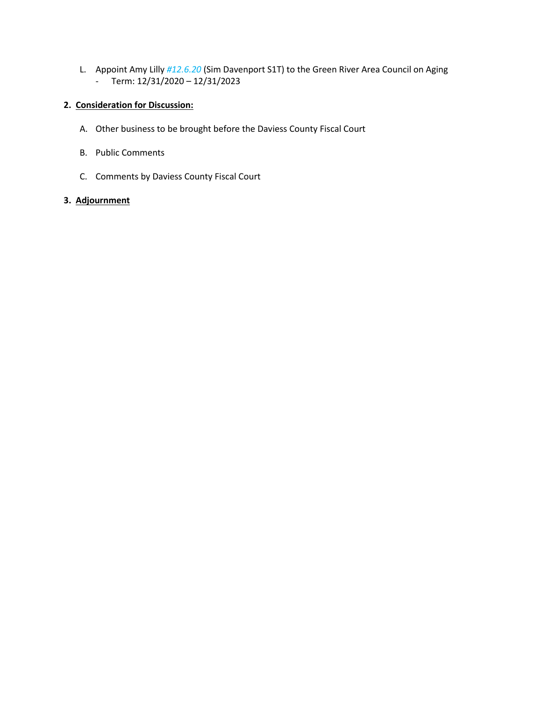L. Appoint Amy Lilly *#12.6.20* (Sim Davenport S1T) to the Green River Area Council on Aging - Term: 12/31/2020 – 12/31/2023

## **2. Consideration for Discussion:**

- A. Other business to be brought before the Daviess County Fiscal Court
- B. Public Comments
- C. Comments by Daviess County Fiscal Court

## **3. Adjournment**